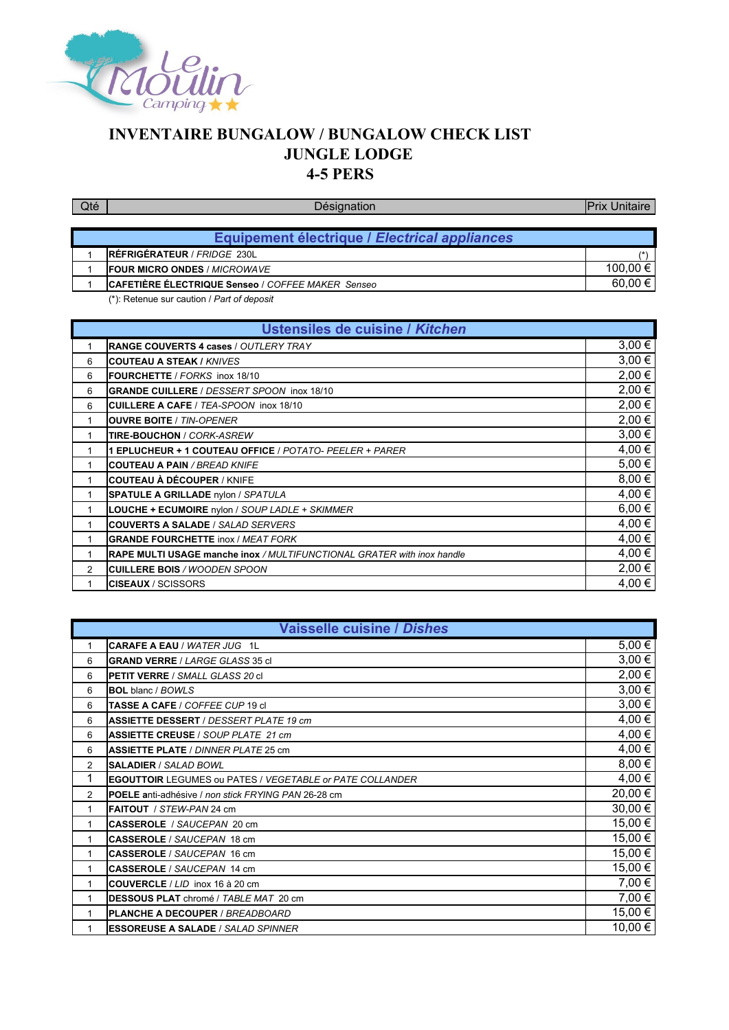

## **INVENTAIRE BUNGALOW / BUNGALOW CHECK LIST JUNGLE LODGE 4-5 PERS**

| <b>Qté</b>                      | Désignation                                       | <b>Prix Unitaire</b> |
|---------------------------------|---------------------------------------------------|----------------------|
|                                 |                                                   |                      |
|                                 | Equipement électrique / Electrical appliances     |                      |
|                                 | RÉFRIGÉRATEUR / FRIDGE 230L                       | $\sqrt{ }$           |
|                                 | <b>IFOUR MICRO ONDES / MICROWAVE</b>              | 100,00 €             |
|                                 | CAFETIÈRE ÉLECTRIQUE Senseo / COFFEE MAKER Senseo | 60,00 €              |
|                                 | (*): Retenue sur caution / Part of deposit        |                      |
|                                 |                                                   |                      |
| Ustensiles de cuisine / Kitchen |                                                   |                      |

| <u>ostensiles de cuisine i interien</u>                                        |            |
|--------------------------------------------------------------------------------|------------|
| <b>IRANGE COUVERTS 4 cases / OUTLERY TRAY</b>                                  | $3,00 \in$ |
| <b>COUTEAU A STEAK / KNIVES</b>                                                | $3,00 \in$ |
| FOURCHETTE / FORKS inox 18/10                                                  | 2,00 €     |
| <b>GRANDE CUILLERE / DESSERT SPOON inox 18/10</b>                              | 2,00 €     |
| CUILLERE A CAFE / TEA-SPOON inox 18/10                                         | 2,00 €     |
| <b>IOUVRE BOITE / TIN-OPENER</b>                                               | 2,00 €     |
| TIRE-BOUCHON / CORK-ASREW                                                      | $3,00 \in$ |
| 1 EPLUCHEUR + 1 COUTEAU OFFICE / POTATO- PEELER + PARER                        | 4,00 €     |
| <b>COUTEAU A PAIN / BREAD KNIFE</b>                                            | 5,00 €     |
| <b>ICOUTEAU À DÉCOUPER / KNIFE</b>                                             | 8,00€      |
| <b>SPATULE A GRILLADE</b> nylon / SPATULA                                      | 4,00 €     |
| LOUCHE + ECUMOIRE nylon / SOUP LADLE + SKIMMER                                 | $6,00 \in$ |
| <b>ICOUVERTS A SALADE /</b> SALAD SERVERS                                      | 4,00 €     |
| <b>GRANDE FOURCHETTE inox / MEAT FORK</b>                                      | 4,00 €     |
| <b>IRAPE MULTI USAGE manche inox / MULTIFUNCTIONAL GRATER with inox handle</b> | 4,00 €     |
| <b>ICUILLERE BOIS / WOODEN SPOON</b>                                           | 2,00 €     |
| <b>CISEAUX</b> / SCISSORS                                                      | 4,00 €     |
|                                                                                |            |

|              | <b>Vaisselle cuisine / Dishes</b>                                |            |  |
|--------------|------------------------------------------------------------------|------------|--|
| 1            | CARAFE A EAU / WATER JUG 1L                                      | 5,00€      |  |
| 6            | <b>IGRAND VERRE / <i>LARGE GLASS</i> 35 cl</b>                   | $3,00 \in$ |  |
| 6            | <b>IPETIT VERRE / SMALL GLASS 20 cl</b>                          | 2,00 €     |  |
| 6            | <b>BOL</b> blanc / BOWLS                                         | $3,00 \in$ |  |
| 6            | <b>TASSE A CAFE / COFFEE CUP 19 cl</b>                           | $3,00 \in$ |  |
| 6            | <b>IASSIETTE DESSERT</b> / DESSERT PLATE 19 cm                   | 4,00 €     |  |
| 6            | <b>ASSIETTE CREUSE / SOUP PLATE 21 cm</b>                        | 4,00 €     |  |
| 6            | <b>ASSIETTE PLATE</b> / DINNER PLATE 25 cm                       | 4,00 €     |  |
| 2            | <b>SALADIER / SALAD BOWL</b>                                     | $8,00 \in$ |  |
| $\mathbf{1}$ | <b>IEGOUTTOIR</b> LEGUMES ou PATES / VEGETABLE or PATE COLLANDER | 4,00 €     |  |
| 2            | <b>IPOELE anti-adhésive / non stick FRYING PAN 26-28 cm</b>      | 20,00 €    |  |
| 1            | <b>FAITOUT</b> / STEW-PAN 24 cm                                  | 30,00 €    |  |
| 1            | CASSEROLE / SAUCEPAN 20 cm                                       | 15,00 €    |  |
| 1            | CASSEROLE / SAUCEPAN 18 cm                                       | 15,00 €    |  |
| 1            | <b>ICASSEROLE</b> / SAUCEPAN 16 cm                               | 15,00 €    |  |
| $\mathbf{1}$ | <b>ICASSEROLE</b> / SAUCEPAN 14 cm                               | 15,00 €    |  |
| 1            | COUVERCLE / LID inox 16 à 20 cm                                  | 7,00 €     |  |
| $\mathbf{1}$ | <b>IDESSOUS PLAT</b> chromé / TABLE MAT 20 cm                    | 7,00 €     |  |
| 1            | PLANCHE A DECOUPER / BREADBOARD                                  | 15,00 €    |  |
| 1            | <b>ESSOREUSE A SALADE / SALAD SPINNER</b>                        | 10,00 €    |  |